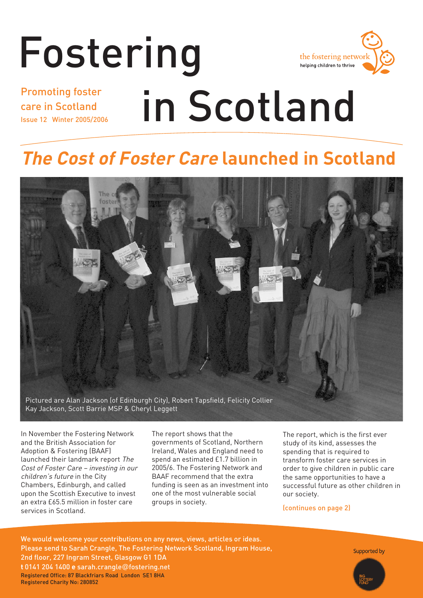# Fostering in Scotland Promoting foster



## care in Scotland Issue 12 Winter 2005/2006

## **The Cost of Foster Care launched in Scotland**



In November the Fostering Network and the British Association for Adoption & Fostering (BAAF) launched their landmark report The Cost of Foster Care – investing in our children's future in the City Chambers, Edinburgh, and called upon the Scottish Executive to invest an extra £65.5 million in foster care services in Scotland.

The report shows that the governments of Scotland, Northern Ireland, Wales and England need to spend an estimated £1.7 billion in 2005/6. The Fostering Network and BAAF recommend that the extra funding is seen as an investment into one of the most vulnerable social groups in society.

The report, which is the first ever study of its kind, assesses the spending that is required to transform foster care services in order to give children in public care the same opportunities to have a successful future as other children in our society.

(continues on page 2)

We would welcome your contributions on any news, views, articles or ideas. Please send to Sarah Crangle, The Fostering Network Scotland, Ingram House, 2nd floor, 227 Ingram Street, Glasgow G1 1DA **t** 0141 204 1400 **e** sarah.crangle@fostering.net Registered Office: 87 Blackfriars Road London SE1 8HA Registered Charity No: 280852

Supported by

Fostering in Scotland **1**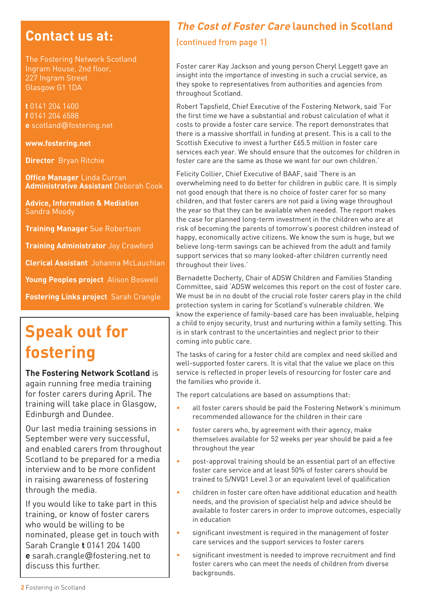## **Contact us at:**

The Fostering Network Scotland Ingram House, 2nd floor, 227 Ingram Street Glasgow G1 1DA

**t** 0141 204 1400 **f** 0141 204 6588 **e** scotland@fostering.net

#### **www.fostering.net**

**Director** Bryan Ritchie

**Office Manager** Linda Curran **Administrative Assistant** Deborah Cook

**Advice, Information & Mediation**  Sandra Moody

**Training Manager** Sue Robertson

**Training Administrator** Joy Crawford

**Clerical Assistant** Johanna McLauchlan

**Young Peoples project** Alison Boswell

**Fostering Links project** Sarah Crangle

## **Speak out for fostering**

**The Fostering Network Scotland** is again running free media training for foster carers during April. The training will take place in Glasgow, Edinburgh and Dundee.

Our last media training sessions in September were very successful, and enabled carers from throughout Scotland to be prepared for a media interview and to be more confident in raising awareness of fostering through the media.

If you would like to take part in this training, or know of foster carers who would be willing to be nominated, please get in touch with Sarah Crangle **t** 0141 204 1400 **e** sarah.crangle@fostering.net to discuss this further.

## **The Cost of Foster Care launched in Scotland**

### (continued from page 1)

Foster carer Kay Jackson and young person Cheryl Leggett gave an insight into the importance of investing in such a crucial service, as they spoke to representatives from authorities and agencies from throughout Scotland.

Robert Tapsfield, Chief Executive of the Fostering Network, said 'For the first time we have a substantial and robust calculation of what it costs to provide a foster care service. The report demonstrates that there is a massive shortfall in funding at present. This is a call to the Scottish Executive to invest a further £65.5 million in foster care services each year. We should ensure that the outcomes for children in foster care are the same as those we want for our own children.'

Felicity Collier, Chief Executive of BAAF, said 'There is an overwhelming need to do better for children in public care. It is simply not good enough that there is no choice of foster carer for so many children, and that foster carers are not paid a living wage throughout the year so that they can be available when needed. The report makes the case for planned long-term investment in the children who are at risk of becoming the parents of tomorrow's poorest children instead of happy, economically active citizens. We know the sum is huge, but we believe long-term savings can be achieved from the adult and family support services that so many looked-after children currently need throughout their lives.'

Bernadette Docherty, Chair of ADSW Children and Families Standing Committee, said 'ADSW welcomes this report on the cost of foster care. We must be in no doubt of the crucial role foster carers play in the child protection system in caring for Scotland's vulnerable children. We know the experience of family-based care has been invaluable, helping a child to enjoy security, trust and nurturing within a family setting. This is in stark contrast to the uncertainties and neglect prior to their coming into public care.

The tasks of caring for a foster child are complex and need skilled and well-supported foster carers. It is vital that the value we place on this service is reflected in proper levels of resourcing for foster care and the families who provide it.

The report calculations are based on assumptions that:

- all foster carers should be paid the Fostering Network's minimum recommended allowance for the children in their care
- foster carers who, by agreement with their agency, make themselves available for 52 weeks per year should be paid a fee throughout the year
- post-approval training should be an essential part of an effective foster care service and at least 50% of foster carers should be trained to S/NVQ1 Level 3 or an equivalent level of qualification
- children in foster care often have additional education and health needs, and the provision of specialist help and advice should be available to foster carers in order to improve outcomes, especially in education
- significant investment is required in the management of foster care services and the support services to foster carers
- significant investment is needed to improve recruitment and find foster carers who can meet the needs of children from diverse backgrounds.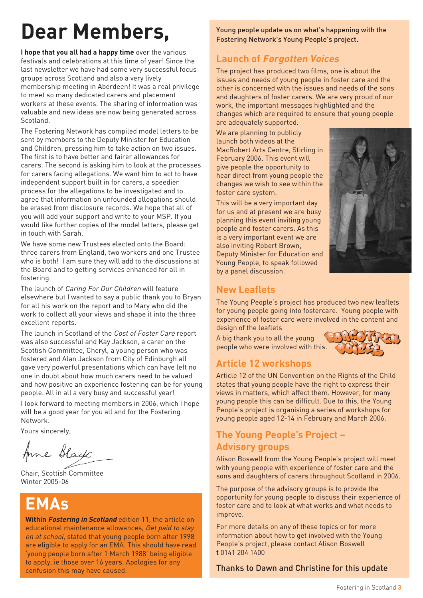## **Dear Members,**

**I hope that you all had a happy time** over the various festivals and celebrations at this time of year! Since the last newsletter we have had some very successful focus groups across Scotland and also a very lively membership meeting in Aberdeen! It was a real privilege to meet so many dedicated carers and placement workers at these events. The sharing of information was valuable and new ideas are now being generated across Scotland.

The Fostering Network has compiled model letters to be sent by members to the Deputy Minister for Education and Children, pressing him to take action on two issues. The first is to have better and fairer allowances for carers. The second is asking him to look at the processes for carers facing allegations. We want him to act to have independent support built in for carers, a speedier process for the allegations to be investigated and to agree that information on unfounded allegations should be erased from disclosure records. We hope that all of you will add your support and write to your MSP. If you would like further copies of the model letters, please get in touch with Sarah.

We have some new Trustees elected onto the Board. three carers from England, two workers and one Trustee who is both! I am sure they will add to the discussions at the Board and to getting services enhanced for all in fostering.

The launch of Caring For Our Children will feature elsewhere but I wanted to say a public thank you to Bryan for all his work on the report and to Mary who did the work to collect all your views and shape it into the three excellent reports.

The launch in Scotland of the Cost of Foster Care report was also successful and Kay Jackson, a carer on the Scottish Committee, Cheryl, a young person who was fostered and Alan Jackson from City of Edinburgh all gave very powerful presentations which can have left no one in doubt about how much carers need to be valued and how positive an experience fostering can be for young people. All in all a very busy and successful year!

I look forward to meeting members in 2006, which I hope will be a good year for you all and for the Fostering Network.

Yours sincerely,

Anne Black

Chair, Scottish Committee Winter 2005-06

## **EMAs**

**Within Fostering in Scotland** edition 11, the article on educational maintenance allowances, Get paid to stay on at school, stated that young people born after 1998 are eligible to apply for an EMA. This should have read 'young people born after 1 March 1988' being eligible to apply, ie those over 16 years. Apologies for any confusion this may have caused.

Young people update us on what's happening with the Fostering Network's Young People's project.

## **Launch of Forgotten Voices**

The project has produced two films, one is about the issues and needs of young people in foster care and the other is concerned with the issues and needs of the sons and daughters of foster carers. We are very proud of our work, the important messages highlighted and the changes which are required to ensure that young people are adequately supported.

We are planning to publicly launch both videos at the MacRobert Arts Centre, Stirling in February 2006. This event will give people the opportunity to hear direct from young people the changes we wish to see within the foster care system.

This will be a very important day for us and at present we are busy planning this event inviting young people and foster carers. As this is a very important event we are also inviting Robert Brown, Deputy Minister for Education and Young People, to speak followed by a panel discussion.



## **New Leaflets**

The Young People's project has produced two new leaflets for young people going into fostercare. Young people with experience of foster care were involved in the content and design of the leaflets

A big thank you to all the young people who were involved with this.



## **Article 12 workshops**

Article 12 of the UN Convention on the Rights of the Child states that young people have the right to express their views in matters, which affect them. However, for many young people this can be difficult. Due to this, the Young People's project is organising a series of workshops for young people aged 12-14 in February and March 2006.

### **The Young People's Project – Advisory groups**

Alison Boswell from the Young People's project will meet with young people with experience of foster care and the sons and daughters of carers throughout Scotland in 2006.

The purpose of the advisory groups is to provide the opportunity for young people to discuss their experience of foster care and to look at what works and what needs to improve.

For more details on any of these topics or for more information about how to get involved with the Young People's project, please contact Alison Boswell **t** 0141 204 1400

### Thanks to Dawn and Christine for this update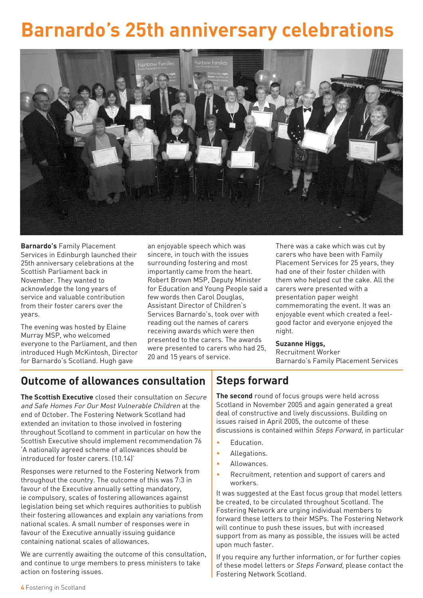## **Barnardo's 25th anniversary celebrations**



**Barnardo's** Family Placement Services in Edinburgh launched their 25th anniversary celebrations at the Scottish Parliament back in November. They wanted to acknowledge the long years of service and valuable contribution from their foster carers over the years.

The evening was hosted by Elaine Murray MSP, who welcomed everyone to the Parliament, and then introduced Hugh McKintosh, Director for Barnardo's Scotland. Hugh gave

an enjoyable speech which was sincere, in touch with the issues surrounding fostering and most importantly came from the heart. Robert Brown MSP, Deputy Minister for Education and Young People said a few words then Carol Douglas, Assistant Director of Children's Services Barnardo's, took over with reading out the names of carers receiving awards which were then presented to the carers. The awards were presented to carers who had 25, 20 and 15 years of service.

There was a cake which was cut by carers who have been with Family Placement Services for 25 years, they had one of their foster childen with them who helped cut the cake. All the carers were presented with a presentation paper weight commemorating the event. It was an enjoyable event which created a feelgood factor and everyone enjoyed the night.

#### **Suzanne Higgs,**

Recruitment Worker Barnardo's Family Placement Services

## **Outcome of allowances consultation**

**The Scottish Executive** closed their consultation on Secure and Safe Homes For Our Most Vulnerable Children at the end of October. The Fostering Network Scotland had extended an invitation to those involved in fostering throughout Scotland to comment in particular on how the Scottish Executive should implement recommendation 76 'A nationally agreed scheme of allowances should be introduced for foster carers. (10.14)'

Responses were returned to the Fostering Network from throughout the country. The outcome of this was 7:3 in favour of the Executive annually setting mandatory, ie compulsory, scales of fostering allowances against legislation being set which requires authorities to publish their fostering allowances and explain any variations from national scales. A small number of responses were in favour of the Executive annually issuing guidance containing national scales of allowances.

We are currently awaiting the outcome of this consultation, and continue to urge members to press ministers to take action on fostering issues.

## **Steps forward**

**The second** round of focus groups were held across Scotland in November 2005 and again generated a great deal of constructive and lively discussions. Building on issues raised in April 2005, the outcome of these discussions is contained within Steps Forward, in particular

- Education.
- Allegations.
- Allowances.
- Recruitment, retention and support of carers and workers.

It was suggested at the East focus group that model letters be created, to be circulated throughout Scotland. The Fostering Network are urging individual members to forward these letters to their MSPs. The Fostering Network will continue to push these issues, but with increased support from as many as possible, the issues will be acted upon much faster.

If you require any further information, or for further copies of these model letters or Steps Forward, please contact the Fostering Network Scotland.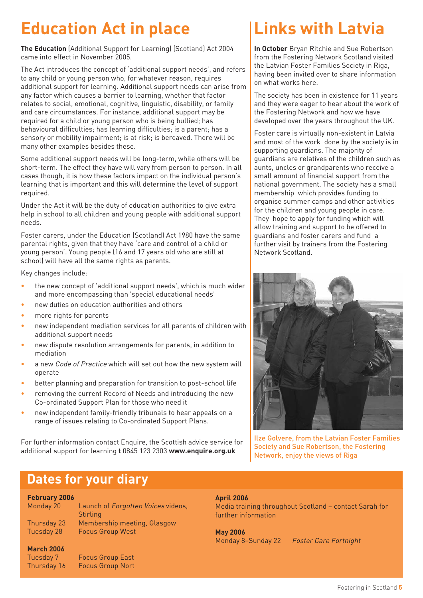## **Education Act in place**

**The Education** (Additional Support for Learning) (Scotland) Act 2004 came into effect in November 2005.

The Act introduces the concept of 'additional support needs', and refers to any child or young person who, for whatever reason, requires additional support for learning. Additional support needs can arise from any factor which causes a barrier to learning, whether that factor relates to social, emotional, cognitive, linguistic, disability, or family and care circumstances. For instance, additional support may be required for a child or young person who is being bullied; has behavioural difficulties; has learning difficulties; is a parent; has a sensory or mobility impairment; is at risk; is bereaved. There will be many other examples besides these.

Some additional support needs will be long-term, while others will be short-term. The effect they have will vary from person to person. In all cases though, it is how these factors impact on the individual person's learning that is important and this will determine the level of support required.

Under the Act it will be the duty of education authorities to give extra help in school to all children and young people with additional support needs.

Foster carers, under the Education (Scotland) Act 1980 have the same parental rights, given that they have 'care and control of a child or young person'. Young people (16 and 17 years old who are still at school) will have all the same rights as parents.

Key changes include:

- the new concept of 'additional support needs', which is much wider and more encompassing than 'special educational needs'
- new duties on education authorities and others
- more rights for parents
- new independent mediation services for all parents of children with additional support needs
- new dispute resolution arrangements for parents, in addition to mediation
- a new Code of Practice which will set out how the new system will operate
- better planning and preparation for transition to post-school life
- removing the current Record of Needs and introducing the new Co-ordinated Support Plan for those who need it
- new independent family-friendly tribunals to hear appeals on a range of issues relating to Co-ordinated Support Plans.

For further information contact Enquire, the Scottish advice service for additional support for learning **t** 0845 123 2303 **www.enquire.org.uk**

## **Links with Latvia**

**In October** Bryan Ritchie and Sue Robertson from the Fostering Network Scotland visited the Latvian Foster Families Society in Riga, having been invited over to share information on what works here.

The society has been in existence for 11 years and they were eager to hear about the work of the Fostering Network and how we have developed over the years throughout the UK.

Foster care is virtually non-existent in Latvia and most of the work done by the society is in supporting guardians. The majority of guardians are relatives of the children such as aunts, uncles or grandparents who receive a small amount of financial support from the national government. The society has a small membership which provides funding to organise summer camps and other activities for the children and young people in care. They hope to apply for funding which will allow training and support to be offered to guardians and foster carers and fund a further visit by trainers from the Fostering Network Scotland.



Ilze Golvere, from the Latvian Foster Families Society and Sue Robertson, the Fostering Network, enjoy the views of Riga

## **Dates for your diary**

Tuesday 7 Focus Group East Thursday 16 Focus Group Nort

#### **February 2006**

**March 2006**

| Monday 20   | Launch of Forgotten Voices videos, |
|-------------|------------------------------------|
|             | <b>Stirling</b>                    |
| Thursday 23 | Membership meeting, Glasgow        |
| Tuesday 28  | <b>Focus Group West</b>            |
|             |                                    |

#### **April 2006**

Media training throughout Scotland – contact Sarah for further information

**May 2006**

Monday 8–Sunday 22 Foster Care Fortnight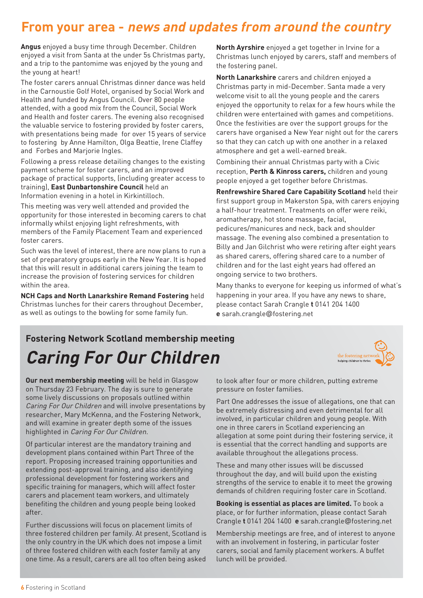## **From your area - news and updates from around the country**

**Angus** enjoyed a busy time through December. Children enjoyed a visit from Santa at the under 5s Christmas party, and a trip to the pantomime was enjoyed by the young and the young at heart!

The foster carers annual Christmas dinner dance was held in the Carnoustie Golf Hotel, organised by Social Work and Health and funded by Angus Council. Over 80 people attended, with a good mix from the Council, Social Work and Health and foster carers. The evening also recognised the valuable service to fostering provided by foster carers, with presentations being made for over 15 years of service to fostering by Anne Hamilton, Olga Beattie, Irene Claffey and Forbes and Marjorie Ingles.

Following a press release detailing changes to the existing payment scheme for foster carers, and an improved package of practical supports, (including greater access to training), **East Dunbartonshire Council** held an Information evening in a hotel in Kirkintilloch.

This meeting was very well attended and provided the opportunity for those interested in becoming carers to chat informally whilst enjoying light refreshments, with members of the Family Placement Team and experienced foster carers.

Such was the level of interest, there are now plans to run a set of preparatory groups early in the New Year. It is hoped that this will result in additional carers joining the team to increase the provision of fostering services for children within the area.

**NCH Caps and North Lanarkshire Remand Fostering** held Christmas lunches for their carers throughout December, as well as outings to the bowling for some family fun.

**North Ayrshire** enjoyed a get together in Irvine for a Christmas lunch enjoyed by carers, staff and members of the fostering panel.

**North Lanarkshire** carers and children enjoyed a Christmas party in mid-December. Santa made a very welcome visit to all the young people and the carers enjoyed the opportunity to relax for a few hours while the children were entertained with games and competitions. Once the festivities are over the support groups for the carers have organised a New Year night out for the carers so that they can catch up with one another in a relaxed atmosphere and get a well-earned break.

Combining their annual Christmas party with a Civic reception, **Perth & Kinross carers,** children and young people enjoyed a get together before Christmas.

**Renfrewshire Shared Care Capability Scotland** held their first support group in Makerston Spa, with carers enjoying a half-hour treatment. Treatments on offer were reiki, aromatherapy, hot stone massage, facial, pedicures/manicures and neck, back and shoulder massage. The evening also combined a presentation to Billy and Jan Gilchrist who were retiring after eight years as shared carers, offering shared care to a number of children and for the last eight years had offered an ongoing service to two brothers.

Many thanks to everyone for keeping us informed of what's happening in your area. If you have any news to share, please contact Sarah Crangle **t** 0141 204 1400 **e** sarah.crangle@fostering.net

## **Fostering Network Scotland membership meeting Caring For Our Children**



**Our next membership meeting** will be held in Glasgow on Thursday 23 February. The day is sure to generate some lively discussions on proposals outlined within Caring For Our Children and will involve presentations by researcher, Mary McKenna, and the Fostering Network, and will examine in greater depth some of the issues highlighted in Caring For Our Children.

Of particular interest are the mandatory training and development plans contained within Part Three of the report. Proposing increased training opportunities and extending post-approval training, and also identifying professional development for fostering workers and specific training for managers, which will affect foster carers and placement team workers, and ultimately benefiting the children and young people being looked after.

Further discussions will focus on placement limits of three fostered children per family. At present, Scotland is the only country in the UK which does not impose a limit of three fostered children with each foster family at any one time. As a result, carers are all too often being asked

to look after four or more children, putting extreme pressure on foster families.

Part One addresses the issue of allegations, one that can be extremely distressing and even detrimental for all involved, in particular children and young people. With one in three carers in Scotland experiencing an allegation at some point during their fostering service, it is essential that the correct handling and supports are available throughout the allegations process.

These and many other issues will be discussed throughout the day, and will build upon the existing strengths of the service to enable it to meet the growing demands of children requiring foster care in Scotland.

**Booking is essential as places are limited.** To book a place, or for further information, please contact Sarah Crangle **t** 0141 204 1400 **e** sarah.crangle@fostering.net

Membership meetings are free, and of interest to anyone with an involvement in fostering, in particular foster carers, social and family placement workers. A buffet lunch will be provided.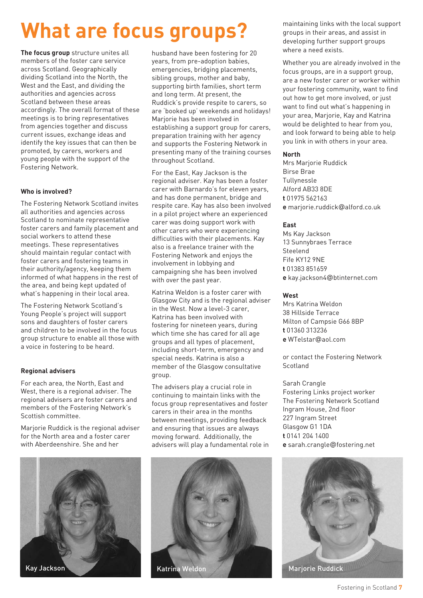## **What are focus groups?**

**The focus group** structure unites all members of the foster care service across Scotland. Geographically dividing Scotland into the North, the West and the East, and dividing the authorities and agencies across Scotland between these areas accordingly. The overall format of these meetings is to bring representatives from agencies together and discuss current issues, exchange ideas and identify the key issues that can then be promoted, by carers, workers and young people with the support of the Fostering Network.

#### **Who is involved?**

The Fostering Network Scotland invites all authorities and agencies across Scotland to nominate representative foster carers and family placement and social workers to attend these meetings. These representatives should maintain regular contact with foster carers and fostering teams in their authority/agency, keeping them informed of what happens in the rest of the area, and being kept updated of what's happening in their local area.

The Fostering Network Scotland's Young People's project will support sons and daughters of foster carers and children to be involved in the focus group structure to enable all those with a voice in fostering to be heard.

#### **Regional advisers**

For each area, the North, East and West, there is a regional adviser. The regional advisers are foster carers and members of the Fostering Network's Scottish committee.

Marjorie Ruddick is the regional adviser for the North area and a foster carer with Aberdeenshire. She and her



husband have been fostering for 20 years, from pre-adoption babies, emergencies, bridging placements, sibling groups, mother and baby, supporting birth families, short term and long term. At present, the Ruddick's provide respite to carers, so are 'booked up' weekends and holidays! Marjorie has been involved in establishing a support group for carers, preparation training with her agency and supports the Fostering Network in presenting many of the training courses throughout Scotland.

For the East, Kay Jackson is the regional adviser. Kay has been a foster carer with Barnardo's for eleven years, and has done permanent, bridge and respite care. Kay has also been involved in a pilot project where an experienced carer was doing support work with other carers who were experiencing difficulties with their placements. Kay also is a freelance trainer with the Fostering Network and enjoys the involvement in lobbying and campaigning she has been involved with over the past year.

Katrina Weldon is a foster carer with Glasgow City and is the regional adviser in the West. Now a level-3 carer, Katrina has been involved with fostering for nineteen years, during which time she has cared for all age groups and all types of placement, including short-term, emergency and special needs. Katrina is also a member of the Glasgow consultative group.

The advisers play a crucial role in continuing to maintain links with the focus group representatives and foster carers in their area in the months between meetings, providing feedback and ensuring that issues are always moving forward. Additionally, the advisers will play a fundamental role in



maintaining links with the local support groups in their areas, and assist in developing further support groups where a need exists.

Whether you are already involved in the focus groups, are in a support group, are a new foster carer or worker within your fostering community, want to find out how to get more involved, or just want to find out what's happening in your area, Marjorie, Kay and Katrina would be delighted to hear from you, and look forward to being able to help you link in with others in your area.

#### **North**

Mrs Marjorie Ruddick Birse Brae Tullynessle Alford AB33 8DE **t** 01975 562163 **e** marjorie.ruddick@alford.co.uk

#### **East**

Ms Kay Jackson 13 Sunnybraes Terrace Steelend Fife KY12 9NE **t** 01383 851659 **e** kay.jackson4@btinternet.com

#### **West**

Mrs Katrina Weldon 38 Hillside Terrace Milton of Campsie G66 8BP **t** 01360 313236 **e** WTelstar@aol.com

or contact the Fostering Network **Scotland** 

#### Sarah Crangle

Fostering Links project worker The Fostering Network Scotland Ingram House, 2nd floor 227 Ingram Street Glasgow G1 1DA **t** 0141 204 1400 **e** sarah.crangle@fostering.net



Fostering in Scotland **7**